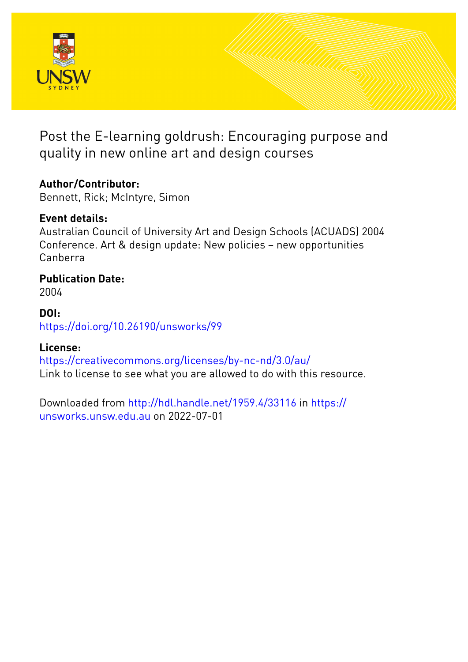

Post the E-learning goldrush: Encouraging purpose and quality in new online art and design courses

# **Author/Contributor:**

Bennett, Rick; McIntyre, Simon

# **Event details:**

Australian Council of University Art and Design Schools (ACUADS) 2004 Conference. Art & design update: New policies – new opportunities Canberra

# **Publication Date:**

2004

### **DOI:** [https://doi.org/10.26190/unsworks/99](http://dx.doi.org/https://doi.org/10.26190/unsworks/99)

## **License:**

<https://creativecommons.org/licenses/by-nc-nd/3.0/au/> Link to license to see what you are allowed to do with this resource.

Downloaded from <http://hdl.handle.net/1959.4/33116> in [https://](https://unsworks.unsw.edu.au) [unsworks.unsw.edu.au](https://unsworks.unsw.edu.au) on 2022-07-01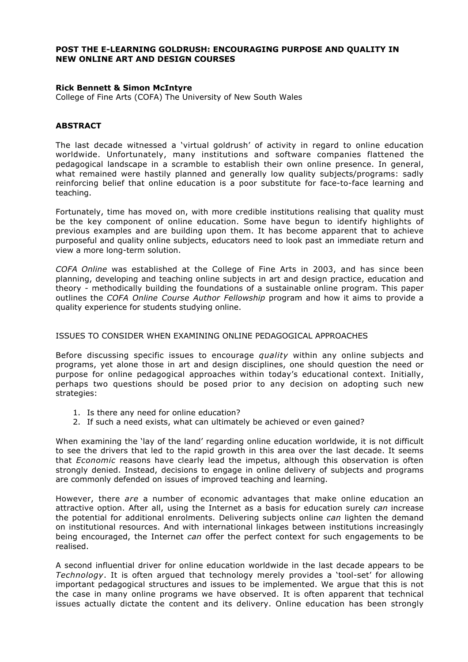#### **POST THE E-LEARNING GOLDRUSH: ENCOURAGING PURPOSE AND QUALITY IN NEW ONLINE ART AND DESIGN COURSES**

#### **Rick Bennett & Simon McIntyre**

College of Fine Arts (COFA) The University of New South Wales

#### **ABSTRACT**

The last decade witnessed a 'virtual goldrush' of activity in regard to online education worldwide. Unfortunately, many institutions and software companies flattened the pedagogical landscape in a scramble to establish their own online presence. In general, what remained were hastily planned and generally low quality subjects/programs: sadly reinforcing belief that online education is a poor substitute for face-to-face learning and teaching.

Fortunately, time has moved on, with more credible institutions realising that quality must be the key component of online education. Some have begun to identify highlights of previous examples and are building upon them. It has become apparent that to achieve purposeful and quality online subjects, educators need to look past an immediate return and view a more long-term solution.

*COFA Online* was established at the College of Fine Arts in 2003, and has since been planning, developing and teaching online subjects in art and design practice, education and theory - methodically building the foundations of a sustainable online program. This paper outlines the *COFA Online Course Author Fellowship* program and how it aims to provide a quality experience for students studying online.

#### ISSUES TO CONSIDER WHEN EXAMINING ONLINE PEDAGOGICAL APPROACHES

Before discussing specific issues to encourage *quality* within any online subjects and programs, yet alone those in art and design disciplines, one should question the need or purpose for online pedagogical approaches within today's educational context. Initially, perhaps two questions should be posed prior to any decision on adopting such new strategies:

- 1. Is there any need for online education?
- 2. If such a need exists, what can ultimately be achieved or even gained?

When examining the 'lay of the land' regarding online education worldwide, it is not difficult to see the drivers that led to the rapid growth in this area over the last decade. It seems that *Economic* reasons have clearly lead the impetus, although this observation is often strongly denied. Instead, decisions to engage in online delivery of subjects and programs are commonly defended on issues of improved teaching and learning.

However, there *are* a number of economic advantages that make online education an attractive option. After all, using the Internet as a basis for education surely *can* increase the potential for additional enrolments. Delivering subjects online *can* lighten the demand on institutional resources. And with international linkages between institutions increasingly being encouraged, the Internet *can* offer the perfect context for such engagements to be realised.

A second influential driver for online education worldwide in the last decade appears to be *Technology*. It is often argued that technology merely provides a 'tool-set' for allowing important pedagogical structures and issues to be implemented. We argue that this is not the case in many online programs we have observed. It is often apparent that technical issues actually dictate the content and its delivery. Online education has been strongly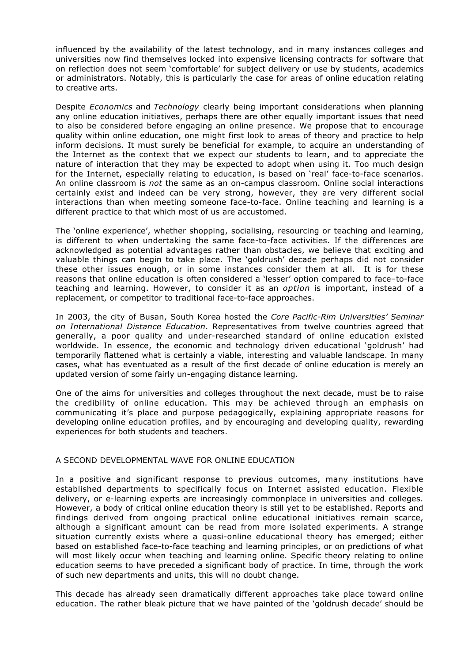influenced by the availability of the latest technology, and in many instances colleges and universities now find themselves locked into expensive licensing contracts for software that on reflection does not seem 'comfortable' for subject delivery or use by students, academics or administrators. Notably, this is particularly the case for areas of online education relating to creative arts.

Despite *Economics* and *Technology* clearly being important considerations when planning any online education initiatives, perhaps there are other equally important issues that need to also be considered before engaging an online presence. We propose that to encourage quality within online education, one might first look to areas of theory and practice to help inform decisions. It must surely be beneficial for example, to acquire an understanding of the Internet as the context that we expect our students to learn, and to appreciate the nature of interaction that they may be expected to adopt when using it. Too much design for the Internet, especially relating to education, is based on 'real' face-to-face scenarios. An online classroom is *not* the same as an on-campus classroom. Online social interactions certainly exist and indeed can be very strong, however, they are very different social interactions than when meeting someone face-to-face. Online teaching and learning is a different practice to that which most of us are accustomed.

The 'online experience', whether shopping, socialising, resourcing or teaching and learning, is different to when undertaking the same face-to-face activities. If the differences are acknowledged as potential advantages rather than obstacles, we believe that exciting and valuable things can begin to take place. The 'goldrush' decade perhaps did not consider these other issues enough, or in some instances consider them at all. It is for these reasons that online education is often considered a 'lesser' option compared to face–to-face teaching and learning. However, to consider it as an *option* is important, instead of a replacement, or competitor to traditional face-to-face approaches.

In 2003, the city of Busan, South Korea hosted the *Core Pacific-Rim Universities' Seminar on International Distance Education*. Representatives from twelve countries agreed that generally, a poor quality and under-researched standard of online education existed worldwide. In essence, the economic and technology driven educational 'goldrush' had temporarily flattened what is certainly a viable, interesting and valuable landscape. In many cases, what has eventuated as a result of the first decade of online education is merely an updated version of some fairly un-engaging distance learning.

One of the aims for universities and colleges throughout the next decade, must be to raise the credibility of online education. This may be achieved through an emphasis on communicating it's place and purpose pedagogically, explaining appropriate reasons for developing online education profiles, and by encouraging and developing quality, rewarding experiences for both students and teachers.

#### A SECOND DEVELOPMENTAL WAVE FOR ONLINE EDUCATION

In a positive and significant response to previous outcomes, many institutions have established departments to specifically focus on Internet assisted education. Flexible delivery, or e-learning experts are increasingly commonplace in universities and colleges. However, a body of critical online education theory is still yet to be established. Reports and findings derived from ongoing practical online educational initiatives remain scarce, although a significant amount can be read from more isolated experiments. A strange situation currently exists where a quasi-online educational theory has emerged; either based on established face-to-face teaching and learning principles, or on predictions of what will most likely occur when teaching and learning online. Specific theory relating to online education seems to have preceded a significant body of practice. In time, through the work of such new departments and units, this will no doubt change.

This decade has already seen dramatically different approaches take place toward online education. The rather bleak picture that we have painted of the 'goldrush decade' should be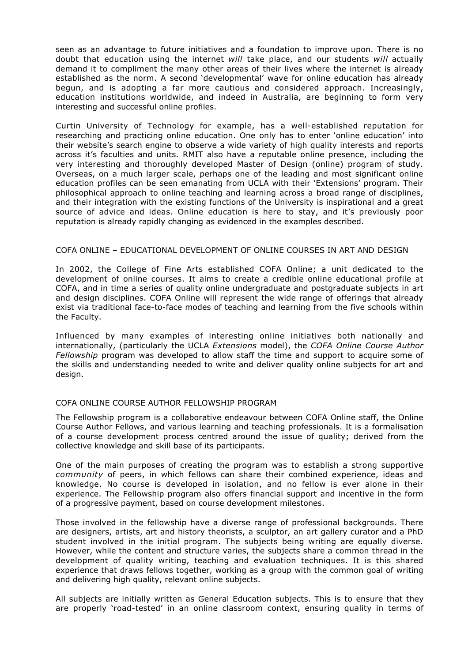seen as an advantage to future initiatives and a foundation to improve upon. There is no doubt that education using the internet *will* take place, and our students *will* actually demand it to compliment the many other areas of their lives where the internet is already established as the norm. A second 'developmental' wave for online education has already begun, and is adopting a far more cautious and considered approach. Increasingly, education institutions worldwide, and indeed in Australia, are beginning to form very interesting and successful online profiles.

Curtin University of Technology for example, has a well-established reputation for researching and practicing online education. One only has to enter 'online education' into their website's search engine to observe a wide variety of high quality interests and reports across it's faculties and units. RMIT also have a reputable online presence, including the very interesting and thoroughly developed Master of Design (online) program of study. Overseas, on a much larger scale, perhaps one of the leading and most significant online education profiles can be seen emanating from UCLA with their 'Extensions' program. Their philosophical approach to online teaching and learning across a broad range of disciplines, and their integration with the existing functions of the University is inspirational and a great source of advice and ideas. Online education is here to stay, and it's previously poor reputation is already rapidly changing as evidenced in the examples described.

#### COFA ONLINE – EDUCATIONAL DEVELOPMENT OF ONLINE COURSES IN ART AND DESIGN

In 2002, the College of Fine Arts established COFA Online; a unit dedicated to the development of online courses. It aims to create a credible online educational profile at COFA, and in time a series of quality online undergraduate and postgraduate subjects in art and design disciplines. COFA Online will represent the wide range of offerings that already exist via traditional face-to-face modes of teaching and learning from the five schools within the Faculty.

Influenced by many examples of interesting online initiatives both nationally and internationally, (particularly the UCLA *Extensions* model), the *COFA Online Course Author Fellowship* program was developed to allow staff the time and support to acquire some of the skills and understanding needed to write and deliver quality online subjects for art and design.

#### COFA ONLINE COURSE AUTHOR FELLOWSHIP PROGRAM

The Fellowship program is a collaborative endeavour between COFA Online staff, the Online Course Author Fellows, and various learning and teaching professionals. It is a formalisation of a course development process centred around the issue of quality; derived from the collective knowledge and skill base of its participants.

One of the main purposes of creating the program was to establish a strong supportive *community* of peers, in which fellows can share their combined experience, ideas and knowledge. No course is developed in isolation, and no fellow is ever alone in their experience. The Fellowship program also offers financial support and incentive in the form of a progressive payment, based on course development milestones.

Those involved in the fellowship have a diverse range of professional backgrounds. There are designers, artists, art and history theorists, a sculptor, an art gallery curator and a PhD student involved in the initial program. The subjects being writing are equally diverse. However, while the content and structure varies, the subjects share a common thread in the development of quality writing, teaching and evaluation techniques. It is this shared experience that draws fellows together, working as a group with the common goal of writing and delivering high quality, relevant online subjects.

All subjects are initially written as General Education subjects. This is to ensure that they are properly 'road-tested' in an online classroom context, ensuring quality in terms of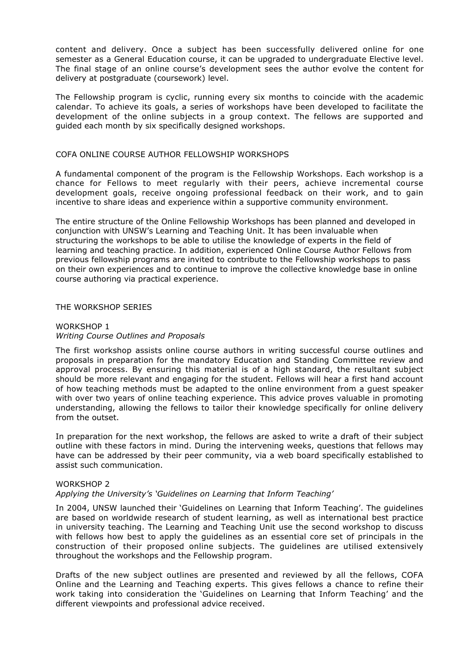content and delivery. Once a subject has been successfully delivered online for one semester as a General Education course, it can be upgraded to undergraduate Elective level. The final stage of an online course's development sees the author evolve the content for delivery at postgraduate (coursework) level.

The Fellowship program is cyclic, running every six months to coincide with the academic calendar. To achieve its goals, a series of workshops have been developed to facilitate the development of the online subjects in a group context. The fellows are supported and guided each month by six specifically designed workshops.

#### COFA ONLINE COURSE AUTHOR FELLOWSHIP WORKSHOPS

A fundamental component of the program is the Fellowship Workshops. Each workshop is a chance for Fellows to meet regularly with their peers, achieve incremental course development goals, receive ongoing professional feedback on their work, and to gain incentive to share ideas and experience within a supportive community environment.

The entire structure of the Online Fellowship Workshops has been planned and developed in conjunction with UNSW's Learning and Teaching Unit. It has been invaluable when structuring the workshops to be able to utilise the knowledge of experts in the field of learning and teaching practice. In addition, experienced Online Course Author Fellows from previous fellowship programs are invited to contribute to the Fellowship workshops to pass on their own experiences and to continue to improve the collective knowledge base in online course authoring via practical experience.

#### THE WORKSHOP SERIES

#### WORKSHOP 1 *Writing Course Outlines and Proposals*

The first workshop assists online course authors in writing successful course outlines and proposals in preparation for the mandatory Education and Standing Committee review and approval process. By ensuring this material is of a high standard, the resultant subject should be more relevant and engaging for the student. Fellows will hear a first hand account of how teaching methods must be adapted to the online environment from a guest speaker with over two years of online teaching experience. This advice proves valuable in promoting understanding, allowing the fellows to tailor their knowledge specifically for online delivery from the outset.

In preparation for the next workshop, the fellows are asked to write a draft of their subject outline with these factors in mind. During the intervening weeks, questions that fellows may have can be addressed by their peer community, via a web board specifically established to assist such communication.

#### WORKSHOP 2

#### *Applying the University's 'Guidelines on Learning that Inform Teaching'*

In 2004, UNSW launched their 'Guidelines on Learning that Inform Teaching'. The guidelines are based on worldwide research of student learning, as well as international best practice in university teaching. The Learning and Teaching Unit use the second workshop to discuss with fellows how best to apply the guidelines as an essential core set of principals in the construction of their proposed online subjects. The guidelines are utilised extensively throughout the workshops and the Fellowship program.

Drafts of the new subject outlines are presented and reviewed by all the fellows, COFA Online and the Learning and Teaching experts. This gives fellows a chance to refine their work taking into consideration the 'Guidelines on Learning that Inform Teaching' and the different viewpoints and professional advice received.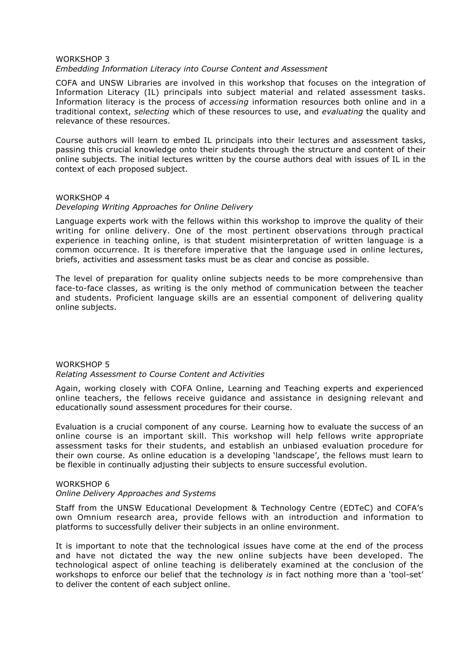#### WORKSHOP 3 *Embedding Information Literacy into Course Content and Assessment*

COFA and UNSW Libraries are involved in this workshop that focuses on the integration of Information Literacy (IL) principals into subject material and related assessment tasks. Information literacy is the process of *accessing* information resources both online and in a traditional context, *selecting* which of these resources to use, and *evaluating* the quality and relevance of these resources.

Course authors will learn to embed IL principals into their lectures and assessment tasks, passing this crucial knowledge onto their students through the structure and content of their online subjects. The initial lectures written by the course authors deal with issues of IL in the context of each proposed subject.

#### WORKSHOP 4

#### *Developing Writing Approaches for Online Delivery*

Language experts work with the fellows within this workshop to improve the quality of their writing for online delivery. One of the most pertinent observations through practical experience in teaching online, is that student misinterpretation of written language is a common occurrence. It is therefore imperative that the language used in online lectures, briefs, activities and assessment tasks must be as clear and concise as possible.

The level of preparation for quality online subjects needs to be more comprehensive than face-to-face classes, as writing is the only method of communication between the teacher and students. Proficient language skills are an essential component of delivering quality online subjects.

#### WORKSHOP 5 *Relating Assessment to Course Content and Activities*

Again, working closely with COFA Online, Learning and Teaching experts and experienced online teachers, the fellows receive guidance and assistance in designing relevant and educationally sound assessment procedures for their course.

Evaluation is a crucial component of any course. Learning how to evaluate the success of an online course is an important skill. This workshop will help fellows write appropriate assessment tasks for their students, and establish an unbiased evaluation procedure for their own course. As online education is a developing 'landscape', the fellows must learn to be flexible in continually adjusting their subjects to ensure successful evolution.

#### WORKSHOP 6

#### *Online Delivery Approaches and Systems*

Staff from the UNSW Educational Development & Technology Centre (EDTeC) and COFA's own Omnium research area, provide fellows with an introduction and information to platforms to successfully deliver their subjects in an online environment.

It is important to note that the technological issues have come at the end of the process and have not dictated the way the new online subjects have been developed. The technological aspect of online teaching is deliberately examined at the conclusion of the workshops to enforce our belief that the technology *is* in fact nothing more than a 'tool-set' to deliver the content of each subject online.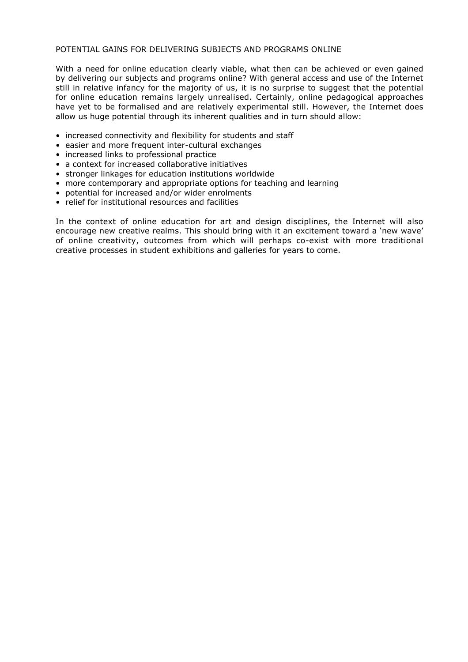#### POTENTIAL GAINS FOR DELIVERING SUBJECTS AND PROGRAMS ONLINE

With a need for online education clearly viable, what then can be achieved or even gained by delivering our subjects and programs online? With general access and use of the Internet still in relative infancy for the majority of us, it is no surprise to suggest that the potential for online education remains largely unrealised. Certainly, online pedagogical approaches have yet to be formalised and are relatively experimental still. However, the Internet does allow us huge potential through its inherent qualities and in turn should allow:

- increased connectivity and flexibility for students and staff
- easier and more frequent inter-cultural exchanges
- increased links to professional practice
- a context for increased collaborative initiatives
- stronger linkages for education institutions worldwide
- more contemporary and appropriate options for teaching and learning
- potential for increased and/or wider enrolments
- relief for institutional resources and facilities

In the context of online education for art and design disciplines, the Internet will also encourage new creative realms. This should bring with it an excitement toward a 'new wave' of online creativity, outcomes from which will perhaps co-exist with more traditional creative processes in student exhibitions and galleries for years to come.